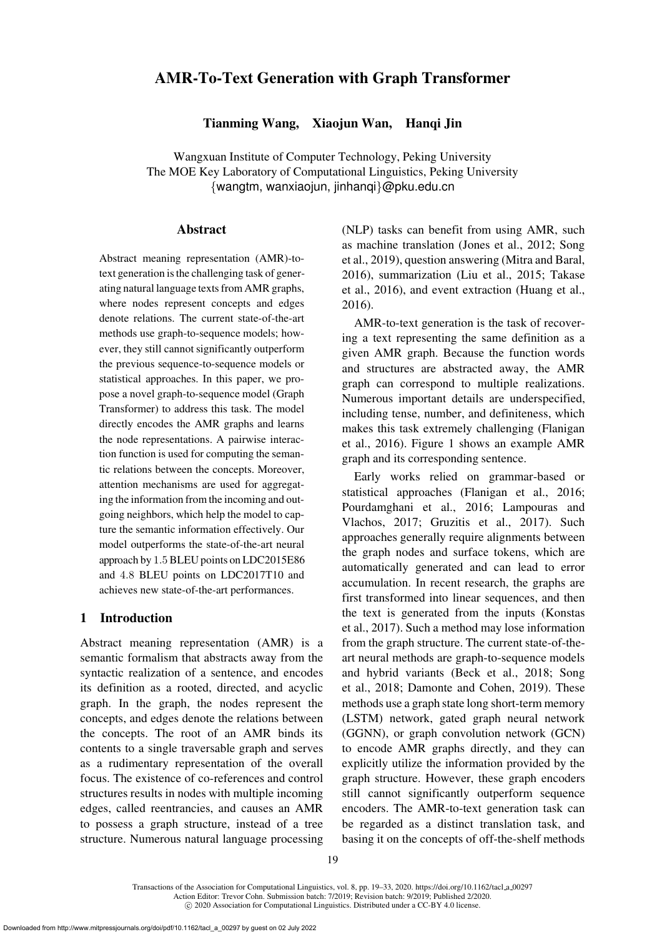# AMR-To-Text Generation with Graph Transformer

Tianming Wang, Xiaojun Wan, Hanqi Jin

Wangxuan Institute of Computer Technology, Peking University The MOE Key Laboratory of Computational Linguistics, Peking University {wangtm, wanxiaojun, jinhanqi}@pku.edu.cn

## Abstract

Abstract meaning representation (AMR)-totext generation is the challenging task of generating natural language texts from AMR graphs, where nodes represent concepts and edges denote relations. The current state-of-the-art methods use graph-to-sequence models; however, they still cannot significantly outperform the previous sequence-to-sequence models or statistical approaches. In this paper, we propose a novel graph-to-sequence model (Graph Transformer) to address this task. The model directly encodes the AMR graphs and learns the node representations. A pairwise interaction function is used for computing the semantic relations between the concepts. Moreover, attention mechanisms are used for aggregating the information from the incoming and outgoing neighbors, which help the model to capture the semantic information effectively. Our model outperforms the state-of-the-art neural approach by <sup>1</sup>.5 BLEU points on LDC2015E86 and <sup>4</sup>.8 BLEU points on LDC2017T10 and achieves new state-of-the-art performances.

#### 1 Introduction

Abstract meaning representation (AMR) is a semantic formalism that abstracts away from the syntactic realization of a sentence, and encodes its definition as a rooted, directed, and acyclic graph. In the graph, the nodes represent the concepts, and edges denote the relations between the concepts. The root of an AMR binds its contents to a single traversable graph and serves as a rudimentary representation of the overall focus. The existence of co-references and control structures results in nodes with multiple incoming edges, called reentrancies, and causes an AMR to possess a graph structure, instead of a tree structure. Numerous natural language processing (NLP) tasks can benefit from using AMR, such as [machine](#page-14-0) [translation](#page-14-0) [\(Jones et al.](#page-13-0)[,](#page-14-0) [2012](#page-13-0)[;](#page-14-0) Song et al., [2019](#page-14-0)), question answering [\(Mitra and Baral,](#page-14-1) [2016\)](#page-14-1)[,](#page-14-3) [summarization](#page-14-3) [\(Liu et al.](#page-14-2)[,](#page-14-3) [2015](#page-14-2)[;](#page-14-3) Takase et al., [2016](#page-14-3)), and event extraction [\(Huang et al.,](#page-13-1) [2016\)](#page-13-1).

AMR-to-text generation is the task of recovering a text representing the same definition as a given AMR graph. Because the function words and structures are abstracted away, the AMR graph can correspond to multiple realizations. Numerous important details are underspecified, including tense, number, and definiteness, which mak[es this task extremely challenging \(](#page-13-2)Flanigan et al., [2016](#page-13-2)). [Figure 1](#page-1-0) shows an example AMR graph and its corresponding sentence.

Early works relied on grammar-based or statistical approaches [\(Flanigan et al.](#page-13-2), [2016;](#page-13-2) [Pourdamghani et al.](#page-14-4)[,](#page-13-3) [2016](#page-14-4)[;](#page-13-3) Lampouras and Vlachos, [2017](#page-13-3); [Gruzitis et al.,](#page-13-4) [2017](#page-13-4)). Such approaches generally require alignments between the graph nodes and surface tokens, which are automatically generated and can lead to error accumulation. In recent research, the graphs are first transformed into linear sequences, and then the [text is generated from the inputs \(](#page-13-5)Konstas et al., [2017\)](#page-13-5). Such a method may lose information from the graph structure. The current state-of-theart neural methods are graph-to-sequence models and [hybrid variants](#page-14-5) [\(Beck et al.](#page-13-6)[,](#page-14-5) [2018](#page-13-6)[;](#page-14-5) Song et al., [2018](#page-14-5); [Damonte and Cohen, 2019\)](#page-13-7). These methods use a graph state long short-term memory (LSTM) network, gated graph neural network (GGNN), or graph convolution network (GCN) to encode AMR graphs directly, and they can explicitly utilize the information provided by the graph structure. However, these graph encoders still cannot significantly outperform sequence encoders. The AMR-to-text generation task can be regarded as a distinct translation task, and basing it on the concepts of off-the-shelf methods

Transactions of the Association for Computational Linguistics, vol. 8, pp. 19–33, 2020. [https://doi.org/10.1162/tacl](https://doi.org/10.1162/tacl_a_00297) a 00297 Action Editor: Trevor Cohn. Submission batch: 7/2019; Revision batch: 9/2019; Published 2/2020.  $\odot$  2020 Association for Computational Linguistics. Distributed under a CC-BY 4.0 license.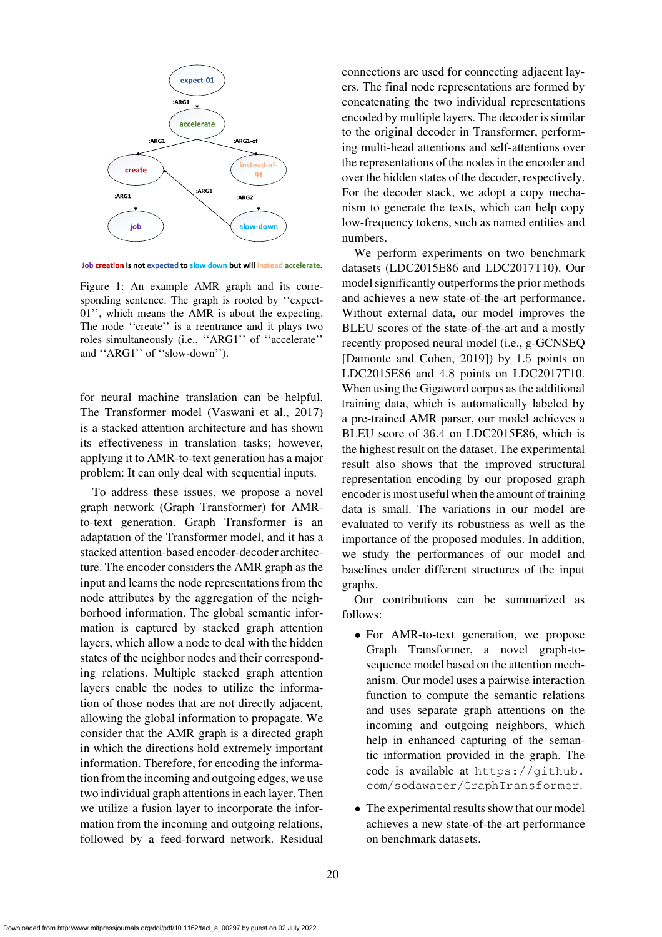

<span id="page-1-0"></span>Job creation is not expected to slow down but will instead accelerate.

Figure 1: An example AMR graph and its corresponding sentence. The graph is rooted by ''expect-01'', which means the AMR is about the expecting. The node "create" is a reentrance and it plays two roles simultaneously (i.e., ''ARG1'' of ''accelerate'' and ''ARG1'' of ''slow-down'').

for neural machine translation can be helpful. The Transformer model [\(Vaswani et al.](#page-14-6), [2017\)](#page-14-6) is a stacked attention architecture and has shown its effectiveness in translation tasks; however, applying it to AMR-to-text generation has a major problem: It can only deal with sequential inputs.

To address these issues, we propose a novel graph network (Graph Transformer) for AMRto-text generation. Graph Transformer is an adaptation of the Transformer model, and it has a stacked attention-based encoder-decoder architecture. The encoder considers the AMR graph as the input and learns the node representations from the node attributes by the aggregation of the neighborhood information. The global semantic information is captured by stacked graph attention layers, which allow a node to deal with the hidden states of the neighbor nodes and their corresponding relations. Multiple stacked graph attention layers enable the nodes to utilize the information of those nodes that are not directly adjacent, allowing the global information to propagate. We consider that the AMR graph is a directed graph in which the directions hold extremely important information. Therefore, for encoding the information from the incoming and outgoing edges, we use two individual graph attentions in each layer. Then we utilize a fusion layer to incorporate the information from the incoming and outgoing relations, followed by a feed-forward network. Residual connections are used for connecting adjacent layers. The final node representations are formed by concatenating the two individual representations encoded by multiple layers. The decoder is similar to the original decoder in Transformer, performing multi-head attentions and self-attentions over the representations of the nodes in the encoder and over the hidden states of the decoder, respectively. For the decoder stack, we adopt a copy mechanism to generate the texts, which can help copy low-frequency tokens, such as named entities and numbers.

We perform experiments on two benchmark datasets (LDC2015E86 and LDC2017T10). Our model significantly outperforms the prior methods and achieves a new state-of-the-art performance. Without external data, our model improves the BLEU scores of the state-of-the-art and a mostly recently proposed neural model (i.e., g-GCNSEQ [\[Damonte and Cohen](#page-13-7), [2019\]](#page-13-7)) by <sup>1</sup>.5 points on LDC2015E86 and <sup>4</sup>.8 points on LDC2017T10. When using the Gigaword corpus as the additional training data, which is automatically labeled by a pre-trained AMR parser, our model achieves a BLEU score of <sup>36</sup>.4 on LDC2015E86, which is the highest result on the dataset. The experimental result also shows that the improved structural representation encoding by our proposed graph encoder is most useful when the amount of training data is small. The variations in our model are evaluated to verify its robustness as well as the importance of the proposed modules. In addition, we study the performances of our model and baselines under different structures of the input graphs.

Our contributions can be summarized as follows:

- For AMR-to-text generation, we propose Graph Transformer, a novel graph-tosequence model based on the attention mechanism. Our model uses a pairwise interaction function to compute the semantic relations and uses separate graph attentions on the incoming and outgoing neighbors, which help in enhanced capturing of the semantic information provided in the graph. The code is available at [https://github.](https://github.com/sodawater/GraphTransformer) [com/sodawater/GraphTransformer](https://github.com/sodawater/GraphTransformer).
- The experimental results show that our model achieves a new state-of-the-art performance on benchmark datasets.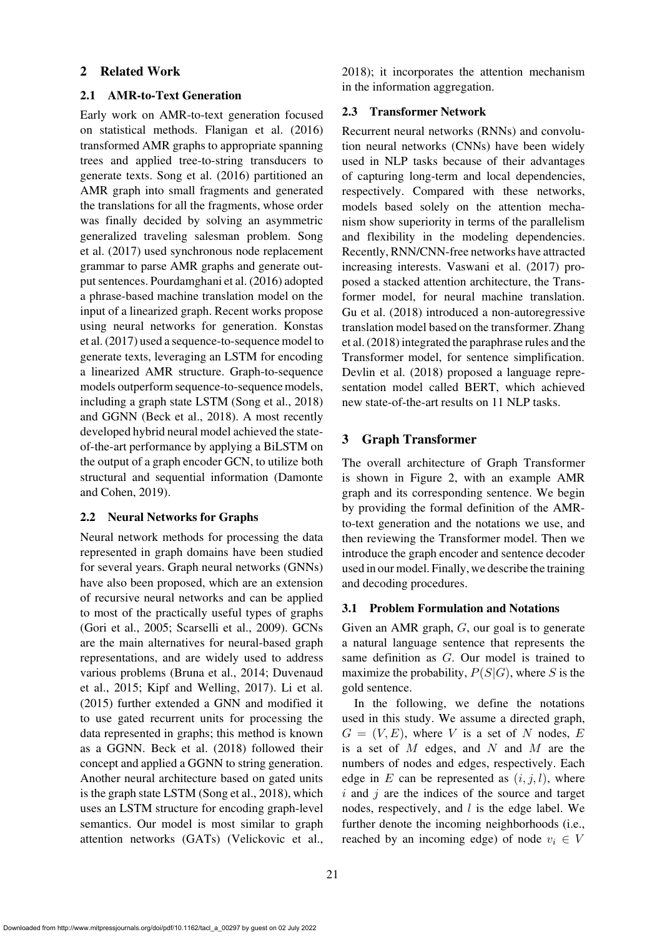## 2 Related Work

## 2.1 AMR-to-Text Generation

Early work on AMR-to-text generation focused on statistical methods. [Flanigan et al.](#page-13-2) [\(2016\)](#page-13-2) transformed AMR graphs to appropriate spanning trees and applied tree-to-string transducers to generate texts. [Song et](#page-14-7) al. [\(2016\)](#page-14-7) partitioned an AMR graph into small fragments and generated the translations for all the fragments, whose order was finally decided by solving an asymmetric gene[ralized](#page-14-8) [traveling](#page-14-8) [salesman](#page-14-8) [problem.](#page-14-8) Song et al. [\(2017](#page-14-8)) used synchronous node replacement grammar to parse AMR graphs and generate output sentences. [Pourdamghani et al.](#page-14-4) [\(2016\)](#page-14-4) adopted a phrase-based machine translation model on the input of a linearized graph. Recent works propose usin[g neural networks for generation.](#page-13-5) Konstas et al. [\(2017](#page-13-5)) used a sequence-to-sequence model to generate texts, leveraging an LSTM for encoding a linearized AMR structure. Graph-to-sequence models outperform sequence-to-sequence models, including a graph state LSTM [\(Song et al., 2018\)](#page-14-5) and GGNN [\(Beck et al., 2018](#page-13-6)). A most recently developed hybrid neural model achieved the stateof-the-art performance by applying a BiLSTM on the output of a graph encoder GCN, to utilize both structural [and sequential information \(](#page-13-7)Damonte and Cohen, [2019](#page-13-7)).

# 2.2 Neural Networks for Graphs

Neural network methods for processing the data represented in graph domains have been studied for several years. Graph neural networks (GNNs) have also been proposed, which are an extension of recursive neural networks and can be applied to most of the practically useful types of graphs [\(Gori et al., 2005;](#page-13-8) [Scarselli et al., 2009](#page-14-9)). GCNs are the main alternatives for neural-based graph representations, and are widely used to address vario[us problems](#page-13-10) [\(Bruna et al.](#page-13-9)[,](#page-13-10) [2014](#page-13-9)[;](#page-13-10) Duvenaud et al., [2015;](#page-13-10) [Kipf and Welling, 2017](#page-13-11)). [Li et al.](#page-14-10) [\(2015\)](#page-14-10) further extended a GNN and modified it to use gated recurrent units for processing the data represented in graphs; this method is known as a GGNN. [Beck et al.](#page-13-6) [\(2018\)](#page-13-6) followed their concept and applied a GGNN to string generation. Another neural architecture based on gated units is the graph state LSTM [\(Song et al., 2018](#page-14-5)), which uses an LSTM structure for encoding graph-level semantics. Our model is most similar to graph attention networks (GATs) [\(Velickovic et al.,](#page-14-11)

[2018\)](#page-14-11); it incorporates the attention mechanism in the information aggregation.

# 2.3 Transformer Network

Recurrent neural networks (RNNs) and convolution neural networks (CNNs) have been widely used in NLP tasks because of their advantages of capturing long-term and local dependencies, respectively. Compared with these networks, models based solely on the attention mechanism show superiority in terms of the parallelism and flexibility in the modeling dependencies. Recently, RNN/CNN-free networks have attracted increasing interests. [Vaswani et al.](#page-14-6) [\(2017\)](#page-14-6) proposed a stacked attention architecture, the Transformer model, for neural machine translation. [Gu et al.](#page-13-12) [\(2018\)](#page-13-12) introduced a non-autoregressive tran[slation](#page-14-12) [model](#page-14-12) [based](#page-14-12) [on](#page-14-12) [the](#page-14-12) [transformer.](#page-14-12) Zhang et al. [\(2018](#page-14-12)) integrated the paraphrase rules and the Transformer model, for sentence simplification. [Devlin et al.](#page-13-13) [\(2018](#page-13-13)) proposed a language representation model called BERT, which achieved new state-of-the-art results on 11 NLP tasks.

# 3 Graph Transformer

The overall architecture of Graph Transformer is shown in [Figure 2,](#page-3-0) with an example AMR graph and its corresponding sentence. We begin by providing the formal definition of the AMRto-text generation and the notations we use, and then reviewing the Transformer model. Then we introduce the graph encoder and sentence decoder used in our model. Finally, we describe the training and decoding procedures.

# 3.1 Problem Formulation and Notations

Given an AMR graph, G, our goal is to generate a natural language sentence that represents the same definition as G. Our model is trained to maximize the probability,  $P(S|G)$ , where S is the gold sentence.

In the following, we define the notations used in this study. We assume a directed graph,  $G = (V, E)$ , where V is a set of N nodes, E is a set of  $M$  edges, and  $N$  and  $M$  are the numbers of nodes and edges, respectively. Each edge in E can be represented as  $(i, j, l)$ , where  $i$  and  $j$  are the indices of the source and target nodes, respectively, and  $l$  is the edge label. We further denote the incoming neighborhoods (i.e., reached by an incoming edge) of node  $v_i \in V$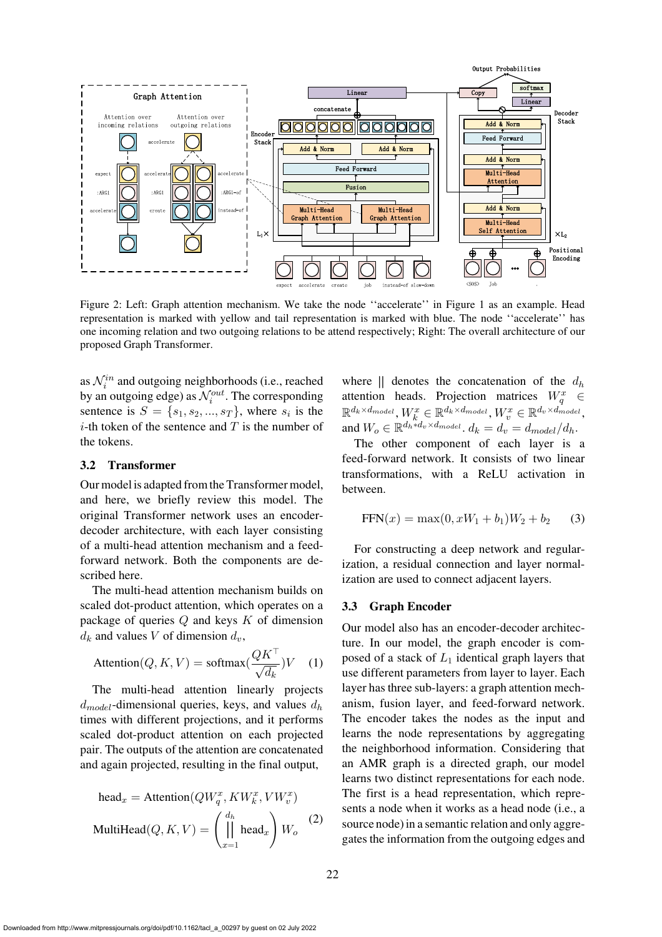

<span id="page-3-0"></span>Figure 2: Left: Graph attention mechanism. We take the node ''accelerate'' in [Figure 1](#page-1-0) as an example. Head representation is marked with yellow and tail representation is marked with blue. The node ''accelerate'' has one incoming relation and two outgoing relations to be attend respectively; Right: The overall architecture of our proposed Graph Transformer.

as  $\mathcal{N}_i^{in}$  and outgoing neighborhoods (i.e., reached by an outgoing edge) as  $\mathcal{N}_i^{out}$ . The corresponding sentence is  $S = \{s_1, s_2, ..., s_T\}$ , where  $s_i$  is the *i*-th token of the sentence and  $T$  is the number of the tokens.

## 3.2 Transformer

Our model is adapted from the Transformer model, and here, we briefly review this model. The original Transformer network uses an encoderdecoder architecture, with each layer consisting of a multi-head attention mechanism and a feedforward network. Both the components are described here.

The multi-head attention mechanism builds on scaled dot-product attention, which operates on a package of queries  $Q$  and keys  $K$  of dimension  $d_k$  and values V of dimension  $d_v$ ,

$$
Attention(Q, K, V) = softmax(\frac{QK^{\top}}{\sqrt{d_k}})V \quad (1)
$$

The multi-head attention linearly projects  $d_{model}$ -dimensional queries, keys, and values  $d_h$ times with different projections, and it performs scaled dot-product attention on each projected pair. The outputs of the attention are concatenated and again projected, resulting in the final output,

head<sub>x</sub> = Attention(
$$
QW_q^x, KW_k^x, VW_v^x
$$
)  
\nMultiHead( $Q, K, V$ ) =  $\left( \prod_{x=1}^{d_h} \text{head}_x \right) W_o$  (2)

where  $\parallel$  denotes the concatenation of the  $d_h$ attention heads. Projection matrices  $W_q^x \in$  $\mathbb{R}^{d_k \times d_{model}}, W^x_k \in \mathbb{R}^{d_k \times d_{model}}, W^x_v \in \mathbb{R}^{d_v \times d_{model}},$ and  $W_o \in \mathbb{R}^{d_h * d_v \times d_{model}}$ .  $d_k = d_v = d_{model}/d_h$ .<br>The other component of each layer is

The other component of each layer is a feed-forward network. It consists of two linear transformations, with a ReLU activation in between.

$$
FFN(x) = \max(0, xW_1 + b_1)W_2 + b_2
$$
 (3)

For constructing a deep network and regularization, a residual connection and layer normalization are used to connect adjacent layers.

## 3.3 Graph Encoder

Our model also has an encoder-decoder architecture. In our model, the graph encoder is composed of a stack of  $L_1$  identical graph layers that use different parameters from layer to layer. Each layer has three sub-layers: a graph attention mechanism, fusion layer, and feed-forward network. The encoder takes the nodes as the input and learns the node representations by aggregating the neighborhood information. Considering that an AMR graph is a directed graph, our model learns two distinct representations for each node. The first is a head representation, which represents a node when it works as a head node (i.e., a source node) in a semantic relation and only aggregates the information from the outgoing edges and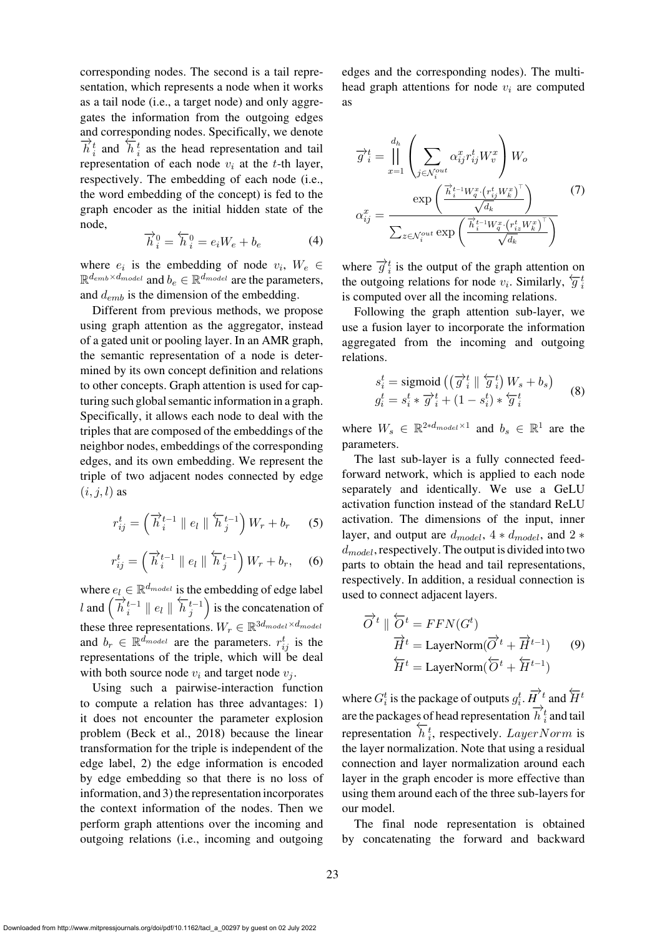corresponding nodes. The second is a tail representation, which represents a node when it works as a tail node (i.e., a target node) and only aggregates the information from the outgoing edges and corresponding nodes. Specifically, we denote  $\overrightarrow{h}_i^t$  and  $\overleftarrow{h}_i^t$  as the head representation and tail representation of each node  $v_i$  at the t-th layer, respectively. The embedding of each node (i.e., the word embedding of the concept) is fed to the graph encoder as the initial hidden state of the node,

$$
\overrightarrow{h}_i^0 = \overleftarrow{h}_i^0 = e_i W_e + b_e \tag{4}
$$

where  $e_i$  is the embedding of node  $v_i$ ,  $W_e \in$  $\mathbb{R}^{d_{emb}\times d_{model}}$  and  $b_e \in \mathbb{R}^{d_{model}}$  are the parameters, and  $d_{emb}$  is the dimension of the embedding.

Different from previous methods, we propose using graph attention as the aggregator, instead of a gated unit or pooling layer. In an AMR graph, the semantic representation of a node is determined by its own concept definition and relations to other concepts. Graph attention is used for capturing such global semantic information in a graph. Specifically, it allows each node to deal with the triples that are composed of the embeddings of the neighbor nodes, embeddings of the corresponding edges, and its own embedding. We represent the triple of two adjacent nodes connected by edge  $(i, j, l)$  as

$$
r_{ij}^t = \left(\overrightarrow{h}_i^{t-1} \parallel e_l \parallel \overleftarrow{h}_j^{t-1}\right) W_r + b_r \qquad (5)
$$

$$
r_{ij}^t = \left(\overrightarrow{h}_i^{t-1} \parallel e_l \parallel \overleftarrow{h}_j^{t-1}\right) W_r + b_r, \quad (6)
$$

where  $e_l \in \mathbb{R}^{d_{model}}$  is the embedding of edge label l and  $(\overrightarrow{h}_i^{t-1} \parallel e_l \parallel \overleftarrow{h}_j^{t-1})$  is the concatenation of these three representations.  $W_r \in \mathbb{R}^{3d_{model} \times d_{model}}$ and  $b_r \in \mathbb{R}^{d_{model}}$  are the parameters.  $r_{ij}^t$  is the representations of the triple, which will be deal with both source node  $v_i$  and target node  $v_j$ .

Using such a pairwise-interaction function to compute a relation has three advantages: 1) it does not encounter the parameter explosion problem [\(Beck et al., 2018](#page-13-6)) because the linear transformation for the triple is independent of the edge label, 2) the edge information is encoded by edge embedding so that there is no loss of information, and 3) the representation incorporates the context information of the nodes. Then we perform graph attentions over the incoming and outgoing relations (i.e., incoming and outgoing edges and the corresponding nodes). The multihead graph attentions for node  $v_i$  are computed as

$$
\overrightarrow{g}_{i}^{t} = \prod_{x=1}^{d_{h}} \left( \sum_{j \in \mathcal{N}_{i}^{out}} \alpha_{ij}^{x} r_{ij}^{t} W_{v}^{x} \right) W_{o}
$$

$$
\alpha_{ij}^{x} = \frac{\exp\left(\frac{\overrightarrow{h}_{i}^{t-1} W_{q}^{x} \cdot (r_{ij}^{t} W_{k}^{x})^{\top}}{\sqrt{d_{k}}}\right)}{\sum_{z \in \mathcal{N}_{i}^{out}} \exp\left(\frac{\overrightarrow{h}_{i}^{t-1} W_{q}^{x} \cdot (r_{iz}^{t} W_{k}^{x})^{\top}}{\sqrt{d_{k}}}\right)}
$$
(7)

where  $\overrightarrow{g}_i^t$  is the output of the graph attention on the outgoing relations for node  $v_i$ . Similarly,  $\overleftarrow{g}_i^t$ is computed over all the incoming relations.

Following the graph attention sub-layer, we use a fusion layer to incorporate the information aggregated from the incoming and outgoing relations.

$$
s_i^t = \text{sigmoid}\left(\left(\overrightarrow{g}^t_i \parallel \overleftarrow{g}^t_i\right) W_s + b_s\right)
$$
  

$$
g_i^t = s_i^t * \overrightarrow{g}^t_i + (1 - s_i^t) * \overleftarrow{g}^t_i
$$
 (8)

where  $W_s \in \mathbb{R}^{2*d_{model} \times 1}$  and  $b_s \in \mathbb{R}^1$  are the parameters.

The last sub-layer is a fully connected feedforward network, which is applied to each node separately and identically. We use a GeLU activation function instead of the standard ReLU activation. The dimensions of the input, inner layer, and output are  $d_{model}$ , 4  $*$   $d_{model}$ , and 2  $*$  $d_{model}$ , respectively. The output is divided into two parts to obtain the head and tail representations, respectively. In addition, a residual connection is used to connect adjacent layers.

$$
\overrightarrow{O}^t \parallel \overleftarrow{O}^t = FFN(G^t)
$$
  
\n
$$
\overrightarrow{H}^t = \text{LayerNorm}(\overrightarrow{O}^t + \overrightarrow{H}^{t-1})
$$
 (9)  
\n
$$
\overleftarrow{H}^t = \text{LayerNorm}(\overleftarrow{O}^t + \overleftarrow{H}^{t-1})
$$

where  $G_i^t$  is the package of outputs  $g_i^t$ .  $\overrightarrow{H}^t$  and  $\overleftarrow{H}^t$ are the packages of head representation  $\overrightarrow{h}_i^t$  and tail representation  $h_t^t$ , respectively. LayerNorm is the layer normalization. Note that using a residual connection and layer normalization around each layer in the graph encoder is more effective than using them around each of the three sub-layers for our model.

The final node representation is obtained by concatenating the forward and backward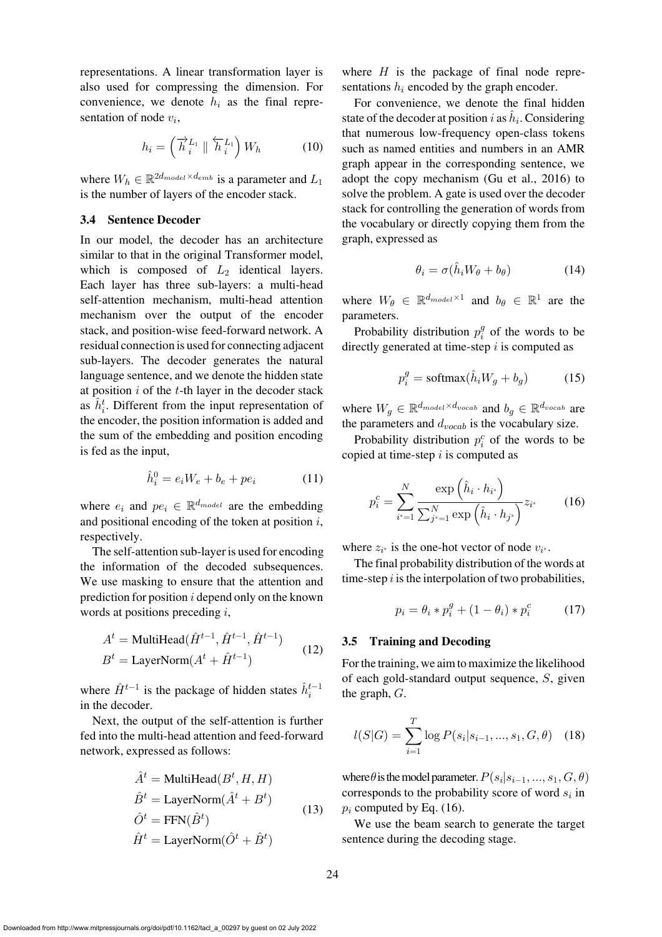representations. A linear transformation layer is also used for compressing the dimension. For convenience, we denote  $h_i$  as the final representation of node  $v_i$ ,

$$
h_i = \left(\overrightarrow{h}_{i}^{L_1} \parallel \overleftarrow{h}_{i}^{L_1}\right) W_h \tag{10}
$$

where  $W_h \in \mathbb{R}^{2d_{model} \times d_{emb}}$  is a parameter and  $L_1$ is the number of layers of the encoder stack.

## 3.4 Sentence Decoder

In our model, the decoder has an architecture similar to that in the original Transformer model, which is composed of  $L_2$  identical layers. Each layer has three sub-layers: a multi-head self-attention mechanism, multi-head attention mechanism over the output of the encoder stack, and position-wise feed-forward network. A residual connection is used for connecting adjacent sub-layers. The decoder generates the natural language sentence, and we denote the hidden state at position  $i$  of the  $t$ -th layer in the decoder stack as  $\hat{h}_i^t$ . Different from the input representation of the encoder, the position information is added and the sum of the embedding and position encoding is fed as the input,

$$
\hat{h}_i^0 = e_i W_e + b_e + p e_i \tag{11}
$$

where  $e_i$  and  $pe_i \in \mathbb{R}^{d_{model}}$  are the embedding and positional encoding of the token at position  $i$ , respectively.

The self-attention sub-layer is used for encoding the information of the decoded subsequences. We use masking to ensure that the attention and prediction for position  $i$  depend only on the known words at positions preceding i,

$$
At = MultiHead(\hat{H}^{t-1}, \hat{H}^{t-1}, \hat{H}^{t-1})
$$
  
\n
$$
Bt = LayerNorm(At + \hat{H}^{t-1})
$$
\n(12)

where  $\hat{H}^{t-1}$  is the package of hidden states  $\hat{h}_i^{t-1}$ in the decoder.

Next, the output of the self-attention is further fed into the multi-head attention and feed-forward network, expressed as follows:

$$
\hat{A}^t = \text{MultiHead}(B^t, H, H)
$$
  
\n
$$
\hat{B}^t = \text{LayerNorm}(\hat{A}^t + B^t)
$$
  
\n
$$
\hat{O}^t = \text{FFN}(\hat{B}^t)
$$
  
\n
$$
\hat{H}^t = \text{LayerNorm}(\hat{O}^t + \hat{B}^t)
$$
\n(13)

where  $H$  is the package of final node representations  $h_i$  encoded by the graph encoder.

For convenience, we denote the final hidden state of the decoder at position i as  $\hat{h}_i$ . Considering that numerous low-frequency open-class tokens such as named entities and numbers in an AMR graph appear in the corresponding sentence, we adopt the copy mechanism [\(Gu et al., 2016](#page-13-14)) to solve the problem. A gate is used over the decoder stack for controlling the generation of words from the vocabulary or directly copying them from the graph, expressed as

$$
\theta_i = \sigma(\ddot{h}_i W_\theta + b_\theta) \tag{14}
$$

where  $W_{\theta} \in \mathbb{R}^{d_{model} \times 1}$  and  $b_{\theta} \in \mathbb{R}^{1}$  are the parameters.

Probability distribution  $p_i^g$  of the words to be directly generated at time-step  $i$  is computed as

$$
p_i^g = \text{softmax}(\hat{h}_i W_g + b_g) \tag{15}
$$

where  $W_q \in \mathbb{R}^{d_{model} \times d_{vocab}}$  and  $b_q \in \mathbb{R}^{d_{vocab}}$  are the parameters and  $d_{vocab}$  is the vocabulary size.

Probability distribution  $p_i^c$  of the words to be copied at time-step  $i$  is computed as

$$
p_i^c = \sum_{i^* = 1}^{N} \frac{\exp(\hat{h}_i \cdot h_{i^*})}{\sum_{j^* = 1}^{N} \exp(\hat{h}_i \cdot h_{j^*})} z_{i^*}
$$
 (16)

where  $z_{i^*}$  is the one-hot vector of node  $v_{i^*}$ .

The final probability distribution of the words at time-step  $i$  is the interpolation of two probabilities,

$$
p_i = \theta_i * p_i^g + (1 - \theta_i) * p_i^c \tag{17}
$$

#### 3.5 Training and Decoding

For the training, we aim to maximize the likelihood of each gold-standard output sequence, S, given the graph, G.

$$
l(S|G) = \sum_{i=1}^{T} \log P(s_i|s_{i-1}, ..., s_1, G, \theta)
$$
 (18)

where  $\theta$  is the model parameter.  $P(s_i|s_{i-1}, ..., s_1, G, \theta)$ corresponds to the probability score of word  $s_i$  in  $p_i$  computed by Eq. (16).

We use the beam search to generate the target sentence during the decoding stage.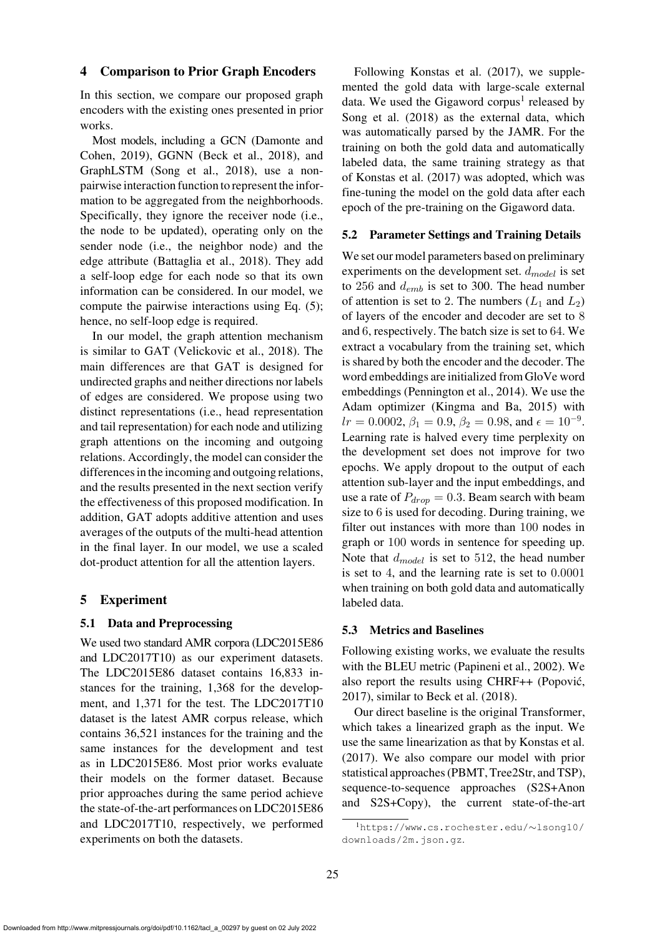#### 4 Comparison to Prior Graph Encoders

In this section, we compare our proposed graph encoders with the existing ones presented in prior works.

Mo[st models, including a GCN \(](#page-13-7)Damonte and Cohen, [2019\)](#page-13-7), GGNN [\(Beck et al.](#page-13-6), [2018](#page-13-6)), and GraphLSTM [\(Song et al.](#page-14-5), [2018\)](#page-14-5), use a nonpairwise interaction function to represent the information to be aggregated from the neighborhoods. Specifically, they ignore the receiver node (i.e., the node to be updated), operating only on the sender node (i.e., the neighbor node) and the edge attribute [\(Battaglia et al.](#page-13-15), [2018](#page-13-15)). They add a self-loop edge for each node so that its own information can be considered. In our model, we compute the pairwise interactions using Eq. (5); hence, no self-loop edge is required.

In our model, the graph attention mechanism is similar to GAT [\(Velickovic et al.](#page-14-11), [2018](#page-14-11)). The main differences are that GAT is designed for undirected graphs and neither directions nor labels of edges are considered. We propose using two distinct representations (i.e., head representation and tail representation) for each node and utilizing graph attentions on the incoming and outgoing relations. Accordingly, the model can consider the differences in the incoming and outgoing relations, and the results presented in the next section verify the effectiveness of this proposed modification. In addition, GAT adopts additive attention and uses averages of the outputs of the multi-head attention in the final layer. In our model, we use a scaled dot-product attention for all the attention layers.

#### 5 Experiment

#### 5.1 Data and Preprocessing

We used two standard AMR corpora (LDC2015E86 and LDC2017T10) as our experiment datasets. The LDC2015E86 dataset contains 16,833 instances for the training, 1,368 for the development, and 1,371 for the test. The LDC2017T10 dataset is the latest AMR corpus release, which contains 36,521 instances for the training and the same instances for the development and test as in LDC2015E86. Most prior works evaluate their models on the former dataset. Because prior approaches during the same period achieve the state-of-the-art performances on LDC2015E86 and LDC2017T10, respectively, we performed experiments on both the datasets.

Following [Konstas et al.](#page-13-5) [\(2017\)](#page-13-5), we supplemented the gold data with large-scale external data. We used the Gigaword corpus<sup>[1](#page-6-0)</sup> released by [Song et al.](#page-14-5) [\(2018](#page-14-5)) as the external data, which was automatically parsed by the JAMR. For the training on both the gold data and automatically labeled data, the same training strategy as that of [Konstas et al.](#page-13-5) [\(2017\)](#page-13-5) was adopted, which was fine-tuning the model on the gold data after each epoch of the pre-training on the Gigaword data.

### 5.2 Parameter Settings and Training Details

We set our model parameters based on preliminary experiments on the development set.  $d_{model}$  is set to 256 and  $d_{emb}$  is set to 300. The head number of attention is set to 2. The numbers  $(L_1 \text{ and } L_2)$ of layers of the encoder and decoder are set to 8 and 6, respectively. The batch size is set to 64. We extract a vocabulary from the training set, which is shared by both the encoder and the decoder. The word embeddings are initialized from GloVe word embeddings [\(Pennington et al., 2014](#page-14-13)). We use the Adam optimizer [\(Kingma and Ba](#page-13-16), [2015\)](#page-13-16) with  $lr = 0.0002, \beta_1 = 0.9, \beta_2 = 0.98, \text{ and } \epsilon = 10^{-9}.$ Learning rate is halved every time perplexity on the development set does not improve for two epochs. We apply dropout to the output of each attention sub-layer and the input embeddings, and use a rate of  $P_{drop} = 0.3$ . Beam search with beam size to 6 is used for decoding. During training, we filter out instances with more than 100 nodes in graph or 100 words in sentence for speeding up. Note that  $d_{model}$  is set to 512, the head number is set to <sup>4</sup>, and the learning rate is set to <sup>0</sup>.0001 when training on both gold data and automatically labeled data.

## 5.3 Metrics and Baselines

Following existing works, we evaluate the results with the BLEU metric [\(Papineni et al., 2002](#page-14-14)). We also report the results using CHRF++ [\(Popovic](#page-14-15),[´](#page-14-15) [2017\)](#page-14-15), similar to [Beck et al.](#page-13-6) [\(2018\)](#page-13-6).

Our direct baseline is the original Transformer, which takes a linearized graph as the input. We use the same linearization as that by [Konstas et al.](#page-13-5) [\(2017](#page-13-5)). We also compare our model with prior statistical approaches (PBMT, Tree2Str, and TSP), sequence-to-sequence approaches (S2S+Anon and S2S+Copy), the current state-of-the-art

<span id="page-6-0"></span><sup>1</sup>[https://www.cs.rochester.edu/](https://www.cs.rochester.edu/~lsong10/downloads/2m.json.gz)∼lsong10/ [downloads/2m.json.gz](https://www.cs.rochester.edu/~lsong10/downloads/2m.json.gz).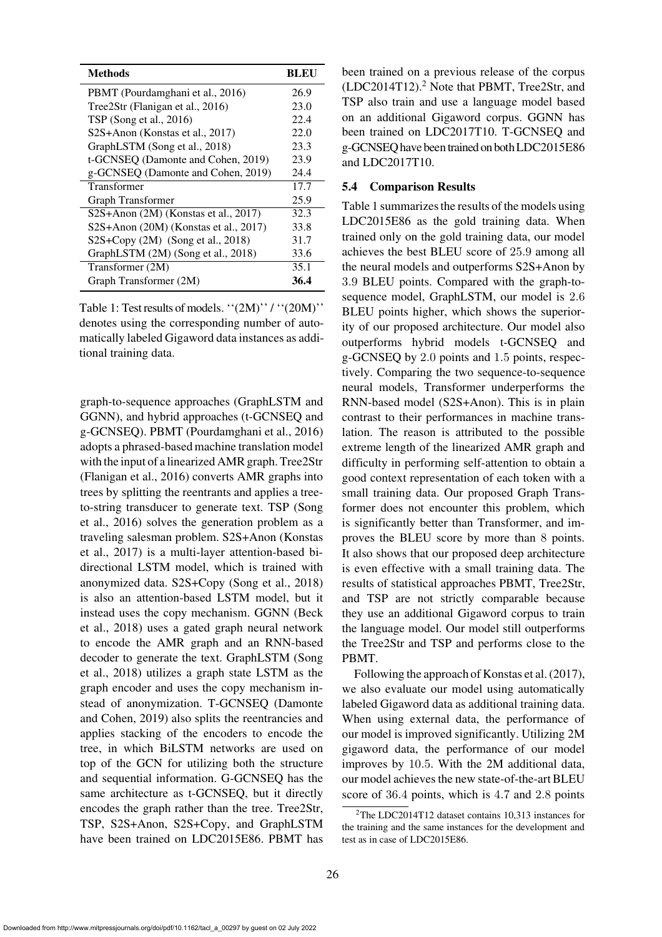| Methods                                 | BLEU |
|-----------------------------------------|------|
| PBMT (Pourdamghani et al., 2016)        | 26.9 |
| Tree2Str (Flanigan et al., 2016)        | 23.0 |
| TSP (Song et al., 2016)                 | 22.4 |
| S2S+Anon (Konstas et al., 2017)         | 22.0 |
| GraphLSTM (Song et al., 2018)           | 23.3 |
| t-GCNSEQ (Damonte and Cohen, 2019)      | 23.9 |
| g-GCNSEQ (Damonte and Cohen, 2019)      | 24.4 |
| Transformer                             | 17.7 |
| Graph Transformer                       | 25.9 |
| S2S+Anon (2M) (Konstas et al., 2017)    | 32.3 |
| $S2S+Anon (20M)$ (Konstas et al., 2017) | 33.8 |
| $S2S+Copy (2M)$ (Song et al., 2018)     | 31.7 |
| GraphLSTM (2M) (Song et al., 2018)      | 33.6 |
| Transformer (2M)                        | 35.1 |
| Graph Transformer (2M)                  | 36.4 |

<span id="page-7-1"></span>Table 1: Test results of models. ''(2M)'' / ''(20M)'' denotes using the corresponding number of automatically labeled Gigaword data instances as additional training data.

graph-to-sequence approaches (GraphLSTM and GGNN), and hybrid approaches (t-GCNSEQ and g-GCNSEQ). PBMT [\(Pourdamghani et al.](#page-14-4), [2016\)](#page-14-4) adopts a phrased-based machine translation model with the input of a linearized AMR graph. Tree2Str [\(Flanigan et al., 2016](#page-13-2)) converts AMR graphs into trees by splitting the reentrants and applies a treeto-st[ring transducer to generate text. TSP \(](#page-14-7)Song et al., [2016\)](#page-14-7) solves the generation problem as a trave[ling salesman problem. S2S+Anon \(](#page-13-5)Konstas et al., [2017](#page-13-5)) is a multi-layer attention-based bidirectional LSTM model, which is trained with anonymized data. S2S+Copy [\(Song et al.](#page-14-5), [2018\)](#page-14-5) is also an attention-based LSTM model, but it inste[ad uses the copy mechanism. GGNN \(](#page-13-6)Beck et al., [2018](#page-13-6)) uses a gated graph neural network to encode the AMR graph and an RNN-based deco[der to generate the text. GraphLSTM \(](#page-14-5)Song et al., [2018\)](#page-14-5) utilizes a graph state LSTM as the graph encoder and uses the copy mechanism instead of a[nonymization. T-GCNSEQ \(](#page-13-7)Damonte and Cohen, [2019\)](#page-13-7) also splits the reentrancies and applies stacking of the encoders to encode the tree, in which BiLSTM networks are used on top of the GCN for utilizing both the structure and sequential information. G-GCNSEQ has the same architecture as t-GCNSEQ, but it directly encodes the graph rather than the tree. Tree2Str, TSP, S2S+Anon, S2S+Copy, and GraphLSTM have been trained on LDC2015E86. PBMT has been trained on a previous release of the corpus  $(LDC2014T12).<sup>2</sup>$  $(LDC2014T12).<sup>2</sup>$  $(LDC2014T12).<sup>2</sup>$  Note that PBMT, Tree2Str, and TSP also train and use a language model based on an additional Gigaword corpus. GGNN has been trained on LDC2017T10. T-GCNSEQ and g-GCNSEQ have been trained on both LDC2015E86 and LDC2017T10.

## 5.4 Comparison Results

[Table 1](#page-7-1) summarizes the results of the models using LDC2015E86 as the gold training data. When trained only on the gold training data, our model achieves the best BLEU score of <sup>25</sup>.9 among all the neural models and outperforms S2S+Anon by <sup>3</sup>.9 BLEU points. Compared with the graph-tosequence model, GraphLSTM, our model is <sup>2</sup>.6 BLEU points higher, which shows the superiority of our proposed architecture. Our model also outperforms hybrid models t-GCNSEQ and g-GCNSEQ by <sup>2</sup>.0 points and 1.5 points, respectively. Comparing the two sequence-to-sequence neural models, Transformer underperforms the RNN-based model (S2S+Anon). This is in plain contrast to their performances in machine translation. The reason is attributed to the possible extreme length of the linearized AMR graph and difficulty in performing self-attention to obtain a good context representation of each token with a small training data. Our proposed Graph Transformer does not encounter this problem, which is significantly better than Transformer, and improves the BLEU score by more than 8 points. It also shows that our proposed deep architecture is even effective with a small training data. The results of statistical approaches PBMT, Tree2Str, and TSP are not strictly comparable because they use an additional Gigaword corpus to train the language model. Our model still outperforms the Tree2Str and TSP and performs close to the PBMT.

Following the approach of [Konstas et al.](#page-13-5) [\(2017](#page-13-5)), we also evaluate our model using automatically labeled Gigaword data as additional training data. When using external data, the performance of our model is improved significantly. Utilizing 2M gigaword data, the performance of our model improves by <sup>10</sup>.5. With the 2M additional data, our model achieves the new state-of-the-art BLEU score of <sup>36</sup>.4 points, which is 4.7 and 2.8 points

<span id="page-7-0"></span><sup>2</sup>The LDC2014T12 dataset contains 10,313 instances for the training and the same instances for the development and test as in case of LDC2015E86.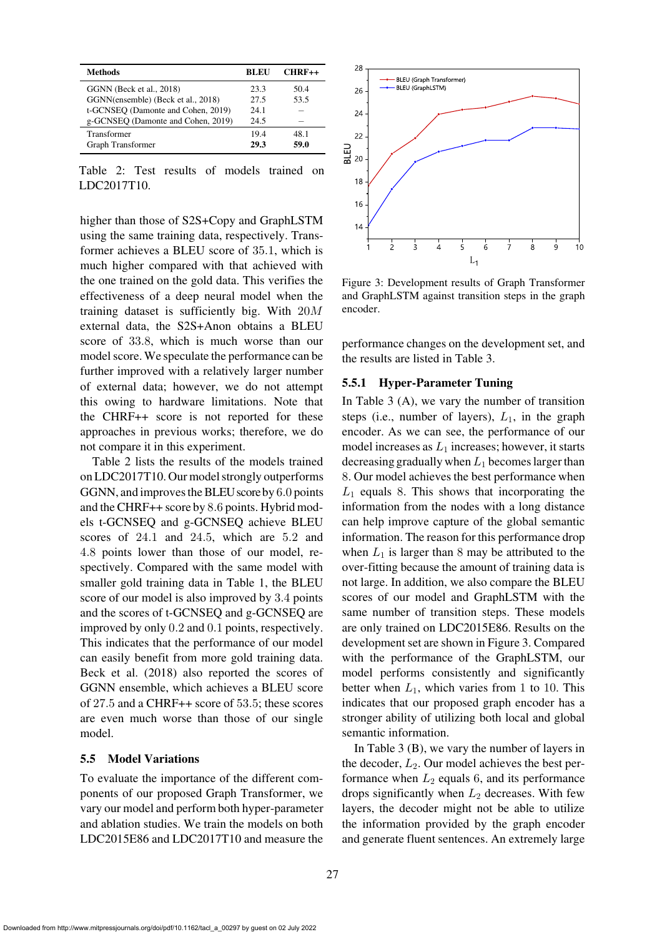| <b>Methods</b>                     | BLEU | $CHRF++$ |
|------------------------------------|------|----------|
| GGNN (Beck et al., 2018)           | 23.3 | 50.4     |
| GGNN(ensemble) (Beck et al., 2018) | 27.5 | 53.5     |
| t-GCNSEO (Damonte and Cohen, 2019) | 24.1 |          |
| g-GCNSEQ (Damonte and Cohen, 2019) | 24.5 |          |
| Transformer                        | 19.4 | 48.1     |
| Graph Transformer                  | 29.3 | 59.0     |

<span id="page-8-0"></span>Table 2: Test results of models trained on LDC2017T10.

higher than those of S2S+Copy and GraphLSTM using the same training data, respectively. Transformer achieves a BLEU score of <sup>35</sup>.1, which is much higher compared with that achieved with the one trained on the gold data. This verifies the effectiveness of a deep neural model when the training dataset is sufficiently big. With <sup>20</sup><sup>M</sup> external data, the S2S+Anon obtains a BLEU score of <sup>33</sup>.8, which is much worse than our model score. We speculate the performance can be further improved with a relatively larger number of external data; however, we do not attempt this owing to hardware limitations. Note that the CHRF++ score is not reported for these approaches in previous works; therefore, we do not compare it in this experiment.

[Table 2](#page-8-0) lists the results of the models trained on LDC2017T10. Our model strongly outperforms GGNN, and improves the BLEU score by <sup>6</sup>.0 points and the CHRF++ score by <sup>8</sup>.6 points. Hybrid models t-GCNSEQ and g-GCNSEQ achieve BLEU scores of <sup>24</sup>.1 and 24.5, which are 5.2 and <sup>4</sup>.8 points lower than those of our model, respectively. Compared with the same model with smaller gold training data in Table 1, the BLEU score of our model is also improved by <sup>3</sup>.4 points and the scores of t-GCNSEQ and g-GCNSEQ are improved by only <sup>0</sup>.2 and 0.1 points, respectively. This indicates that the performance of our model can easily benefit from more gold training data. [Beck et al.](#page-13-6) [\(2018](#page-13-6)) also reported the scores of GGNN ensemble, which achieves a BLEU score of <sup>27</sup>.5 and a CHRF++ score of 53.5; these scores are even much worse than those of our single model.

## 5.5 Model Variations

To evaluate the importance of the different components of our proposed Graph Transformer, we vary our model and perform both hyper-parameter and ablation studies. We train the models on both LDC2015E86 and LDC2017T10 and measure the



<span id="page-8-1"></span>Figure 3: Development results of Graph Transformer and GraphLSTM against transition steps in the graph encoder.

performance changes on the development set, and the results are listed in [Table 3.](#page-9-0)

## 5.5.1 Hyper-Parameter Tuning

In [Table 3](#page-9-0) (A), we vary the number of transition steps (i.e., number of layers),  $L_1$ , in the graph encoder. As we can see, the performance of our model increases as  $L_1$  increases; however, it starts decreasing gradually when  $L_1$  becomes larger than 8. Our model achieves the best performance when  $L_1$  equals 8. This shows that incorporating the information from the nodes with a long distance can help improve capture of the global semantic information. The reason for this performance drop when  $L_1$  is larger than 8 may be attributed to the over-fitting because the amount of training data is not large. In addition, we also compare the BLEU scores of our model and GraphLSTM with the same number of transition steps. These models are only trained on LDC2015E86. Results on the development set are shown in [Figure 3.](#page-8-1) Compared with the performance of the GraphLSTM, our model performs consistently and significantly better when  $L_1$ , which varies from 1 to 10. This indicates that our proposed graph encoder has a stronger ability of utilizing both local and global semantic information.

In [Table 3](#page-9-0) (B), we vary the number of layers in the decoder,  $L_2$ . Our model achieves the best performance when  $L_2$  equals 6, and its performance drops significantly when  $L_2$  decreases. With few layers, the decoder might not be able to utilize the information provided by the graph encoder and generate fluent sentences. An extremely large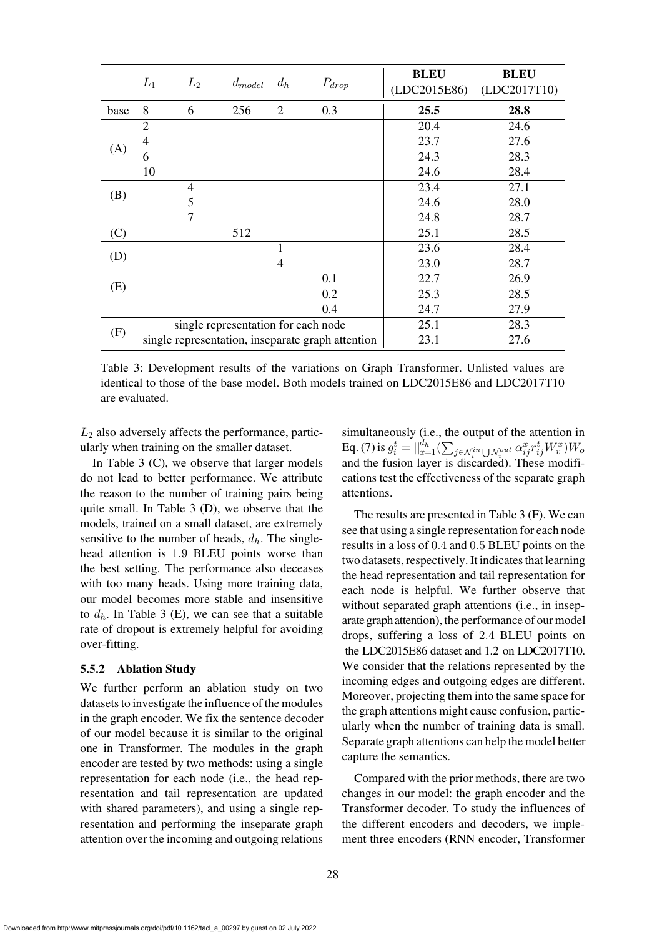|      | $L_1$          | $L_2$                               | $d_{model}$ | $d_h$          | $P_{drop}$                                        | <b>BLEU</b><br>(LDC2015E86) | <b>BLEU</b><br>(LDC2017T10) |
|------|----------------|-------------------------------------|-------------|----------------|---------------------------------------------------|-----------------------------|-----------------------------|
| base | 8              | 6                                   | 256         | $\overline{2}$ | 0.3                                               | 25.5                        | 28.8                        |
|      | $\overline{2}$ |                                     |             |                |                                                   | 20.4                        | 24.6                        |
|      | 4              |                                     |             |                |                                                   | 23.7                        | 27.6                        |
| (A)  | 6              |                                     |             |                |                                                   | 24.3                        | 28.3                        |
|      | 10             |                                     |             |                |                                                   | 24.6                        | 28.4                        |
|      |                | $\overline{4}$                      |             |                |                                                   | 23.4                        | 27.1                        |
| (B)  |                | 5                                   |             |                |                                                   | 24.6                        | 28.0                        |
|      |                | 7                                   |             |                |                                                   | 24.8                        | 28.7                        |
| (C)  |                |                                     | 512         |                |                                                   | 25.1                        | 28.5                        |
| (D)  |                |                                     |             | 1              |                                                   | 23.6                        | 28.4                        |
|      |                |                                     |             | 4              |                                                   | 23.0                        | 28.7                        |
|      |                |                                     |             |                | 0.1                                               | 22.7                        | 26.9                        |
| (E)  |                |                                     |             |                | 0.2                                               | 25.3                        | 28.5                        |
|      |                |                                     |             |                | 0.4                                               | 24.7                        | 27.9                        |
|      |                | single representation for each node |             |                |                                                   | 25.1                        | 28.3                        |
| (F)  |                |                                     |             |                | single representation, inseparate graph attention | 23.1                        | 27.6                        |

<span id="page-9-0"></span>Table 3: Development results of the variations on Graph Transformer. Unlisted values are identical to those of the base model. Both models trained on LDC2015E86 and LDC2017T10 are evaluated.

 $L<sub>2</sub>$  also adversely affects the performance, particularly when training on the smaller dataset.

In [Table 3](#page-9-0) (C), we observe that larger models do not lead to better performance. We attribute the reason to the number of training pairs being quite small. In [Table 3](#page-9-0) (D), we observe that the models, trained on a small dataset, are extremely sensitive to the number of heads,  $d_h$ . The singlehead attention is <sup>1</sup>.9 BLEU points worse than the best setting. The performance also deceases with too many heads. Using more training data, our model becomes more stable and insensitive to  $d_h$ . In [Table 3](#page-9-0) (E), we can see that a suitable rate of dropout is extremely helpful for avoiding over-fitting.

## 5.5.2 Ablation Study

We further perform an ablation study on two datasets to investigate the influence of the modules in the graph encoder. We fix the sentence decoder of our model because it is similar to the original one in Transformer. The modules in the graph encoder are tested by two methods: using a single representation for each node (i.e., the head representation and tail representation are updated with shared parameters), and using a single representation and performing the inseparate graph attention over the incoming and outgoing relations

simultaneously (i.e., the output of the attention in Eq. (7) is  $g_i^t = ||_{x=1}^{d_h} (\sum_{j \in \mathcal{N}_i^{in}} \sum_{\substack{V_i^{out} \\ V_i^{out}}} \alpha_{ij}^x r_{ij}^t W_v^x) W_o$ and the fusion layer is discarded). These modifications test the effectiveness of the separate graph attentions.

The results are presented in [Table 3](#page-9-0) (F). We can see that using a single representation for each node results in a loss of <sup>0</sup>.4 and 0.5 BLEU points on the two datasets, respectively. It indicates that learning the head representation and tail representation for each node is helpful. We further observe that without separated graph attentions (i.e., in inseparate graphattention), the performance of our model drops, suffering a loss of <sup>2</sup>.4 BLEU points on the LDC2015E86 dataset and 1.2 on LDC2017T10. We consider that the relations represented by the incoming edges and outgoing edges are different. Moreover, projecting them into the same space for the graph attentions might cause confusion, particularly when the number of training data is small. Separate graph attentions can help the model better capture the semantics.

Compared with the prior methods, there are two changes in our model: the graph encoder and the Transformer decoder. To study the influences of the different encoders and decoders, we implement three encoders (RNN encoder, Transformer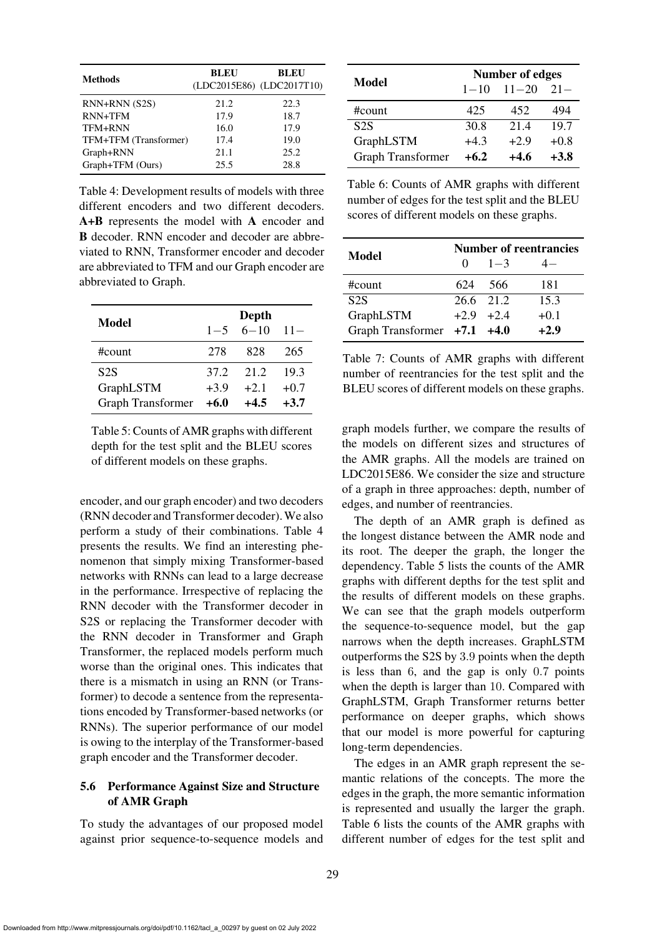| <b>Methods</b>        | <b>BLEU</b> | <b>BLEU</b><br>(LDC2015E86) (LDC2017T10) |
|-----------------------|-------------|------------------------------------------|
| RNN+RNN (S2S)         | 21.2        | 22.3                                     |
| RNN+TFM               | 17.9        | 18.7                                     |
| TFM+RNN               | 16.0        | 17.9                                     |
| TFM+TFM (Transformer) | 17.4        | 19.0                                     |
| Graph+RNN             | 21.1        | 25.2                                     |
| Graph+TFM (Ours)      | 25.5        | 28.8                                     |

<span id="page-10-0"></span>Table 4: Development results of models with three different encoders and two different decoders. A+B represents the model with A encoder and B decoder. RNN encoder and decoder are abbreviated to RNN, Transformer encoder and decoder are abbreviated to TFM and our Graph encoder are abbreviated to Graph.

| Model                                              | Depth<br>$1 - 5 \quad 6 - 10$<br>$11-$ |                          |                         |
|----------------------------------------------------|----------------------------------------|--------------------------|-------------------------|
| #count                                             | 278                                    | 828                      | 265                     |
| S <sub>2</sub> S<br>GraphLSTM<br>Graph Transformer | 37.2<br>$+3.9$<br>$+6.0$               | 21.2<br>$+2.1$<br>$+4.5$ | 193<br>$+0.7$<br>$+3.7$ |

<span id="page-10-1"></span>Table 5: Counts of AMR graphs with different depth for the test split and the BLEU scores of different models on these graphs.

encoder, and our graph encoder) and two decoders (RNN decoder and Transformer decoder).We also perform a study of their combinations. [Table 4](#page-10-0) presents the results. We find an interesting phenomenon that simply mixing Transformer-based networks with RNNs can lead to a large decrease in the performance. Irrespective of replacing the RNN decoder with the Transformer decoder in S2S or replacing the Transformer decoder with the RNN decoder in Transformer and Graph Transformer, the replaced models perform much worse than the original ones. This indicates that there is a mismatch in using an RNN (or Transformer) to decode a sentence from the representations encoded by Transformer-based networks (or RNNs). The superior performance of our model is owing to the interplay of the Transformer-based graph encoder and the Transformer decoder.

# 5.6 Performance Against Size and Structure of AMR Graph

To study the advantages of our proposed model against prior sequence-to-sequence models and

|                          | <b>Number of edges</b> |           |        |  |
|--------------------------|------------------------|-----------|--------|--|
| Model                    | $1 - 10$               | $11 - 20$ | $21-$  |  |
| $\#$ count               | 425                    | 452       | 494    |  |
| S <sub>2</sub> S         | 30.8                   | 214       | 19.7   |  |
| GraphLSTM                | $+4.3$                 | $+2.9$    | $+0.8$ |  |
| <b>Graph Transformer</b> | $+6.2$                 | $+4.6$    | $+3.8$ |  |

<span id="page-10-2"></span>Table 6: Counts of AMR graphs with different number of edges for the test split and the BLEU scores of different models on these graphs.

| Model                         | <b>Number of reentrancies</b> |         |        |  |
|-------------------------------|-------------------------------|---------|--------|--|
|                               | $\Omega$                      | $1 - 3$ |        |  |
| #count                        | 624                           | 566     | 181    |  |
| S2S                           | $26.6$ 21.2                   |         | 15.3   |  |
| GraphLSTM                     | $+2.9$ $+2.4$                 |         | $+0.1$ |  |
| Graph Transformer $+7.1 +4.0$ |                               |         | $+2.9$ |  |

<span id="page-10-3"></span>Table 7: Counts of AMR graphs with different number of reentrancies for the test split and the BLEU scores of different models on these graphs.

graph models further, we compare the results of the models on different sizes and structures of the AMR graphs. All the models are trained on LDC2015E86. We consider the size and structure of a graph in three approaches: depth, number of edges, and number of reentrancies.

The depth of an AMR graph is defined as the longest distance between the AMR node and its root. The deeper the graph, the longer the dependency. [Table 5](#page-10-1) lists the counts of the AMR graphs with different depths for the test split and the results of different models on these graphs. We can see that the graph models outperform the sequence-to-sequence model, but the gap narrows when the depth increases. GraphLSTM outperforms the S2S by <sup>3</sup>.9 points when the depth is less than <sup>6</sup>, and the gap is only <sup>0</sup>.7 points when the depth is larger than 10. Compared with GraphLSTM, Graph Transformer returns better performance on deeper graphs, which shows that our model is more powerful for capturing long-term dependencies.

The edges in an AMR graph represent the semantic relations of the concepts. The more the edges in the graph, the more semantic information is represented and usually the larger the graph. [Table 6](#page-10-2) lists the counts of the AMR graphs with different number of edges for the test split and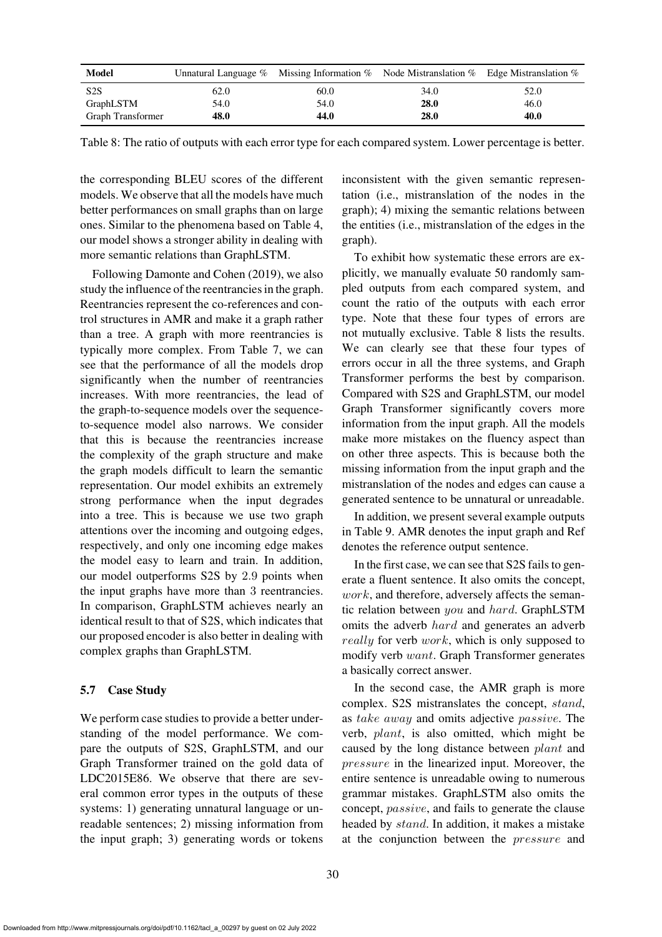| <b>Model</b>      |      | Unnatural Language $\%$ Missing Information $\%$ Node Mistranslation $\%$ Edge Mistranslation $\%$ |      |      |
|-------------------|------|----------------------------------------------------------------------------------------------------|------|------|
| S <sub>2</sub> S  | 62.0 | 60.0                                                                                               | 34.0 | 52.0 |
| GraphLSTM         | 54.0 | 54.0                                                                                               | 28.0 | 46.0 |
| Graph Transformer | 48.0 | 44.0                                                                                               | 28.0 | 40.0 |

<span id="page-11-0"></span>Table 8: The ratio of outputs with each error type for each compared system. Lower percentage is better.

the corresponding BLEU scores of the different models. We observe that all the models have much better performances on small graphs than on large ones. Similar to the phenomena based on [Table 4,](#page-10-0) our model shows a stronger ability in dealing with more semantic relations than GraphLSTM.

Following [Damonte and Cohen](#page-13-7) [\(2019\)](#page-13-7), we also study the influence of the reentrancies in the graph. Reentrancies represent the co-references and control structures in AMR and make it a graph rather than a tree. A graph with more reentrancies is typically more complex. From [Table 7,](#page-10-3) we can see that the performance of all the models drop significantly when the number of reentrancies increases. With more reentrancies, the lead of the graph-to-sequence models over the sequenceto-sequence model also narrows. We consider that this is because the reentrancies increase the complexity of the graph structure and make the graph models difficult to learn the semantic representation. Our model exhibits an extremely strong performance when the input degrades into a tree. This is because we use two graph attentions over the incoming and outgoing edges, respectively, and only one incoming edge makes the model easy to learn and train. In addition, our model outperforms S2S by <sup>2</sup>.9 points when the input graphs have more than 3 reentrancies. In comparison, GraphLSTM achieves nearly an identical result to that of S2S, which indicates that our proposed encoder is also better in dealing with complex graphs than GraphLSTM.

## 5.7 Case Study

We perform case studies to provide a better understanding of the model performance. We compare the outputs of S2S, GraphLSTM, and our Graph Transformer trained on the gold data of LDC2015E86. We observe that there are several common error types in the outputs of these systems: 1) generating unnatural language or unreadable sentences; 2) missing information from the input graph; 3) generating words or tokens inconsistent with the given semantic representation (i.e., mistranslation of the nodes in the graph); 4) mixing the semantic relations between the entities (i.e., mistranslation of the edges in the graph).

To exhibit how systematic these errors are explicitly, we manually evaluate 50 randomly sampled outputs from each compared system, and count the ratio of the outputs with each error type. Note that these four types of errors are not mutually exclusive. [Table 8](#page-11-0) lists the results. We can clearly see that these four types of errors occur in all the three systems, and Graph Transformer performs the best by comparison. Compared with S2S and GraphLSTM, our model Graph Transformer significantly covers more information from the input graph. All the models make more mistakes on the fluency aspect than on other three aspects. This is because both the missing information from the input graph and the mistranslation of the nodes and edges can cause a generated sentence to be unnatural or unreadable.

In addition, we present several example outputs in [Table 9.](#page-12-0) AMR denotes the input graph and Ref denotes the reference output sentence.

In the first case, we can see that S2S fails to generate a fluent sentence. It also omits the concept, work, and therefore, adversely affects the semantic relation between you and hard. GraphLSTM omits the adverb *hard* and generates an adverb really for verb work, which is only supposed to modify verb want. Graph Transformer generates a basically correct answer.

In the second case, the AMR graph is more complex. S2S mistranslates the concept, stand, as take away and omits adjective passive. The verb, plant, is also omitted, which might be caused by the long distance between plant and pressure in the linearized input. Moreover, the entire sentence is unreadable owing to numerous grammar mistakes. GraphLSTM also omits the concept, passive, and fails to generate the clause headed by stand. In addition, it makes a mistake at the conjunction between the pressure and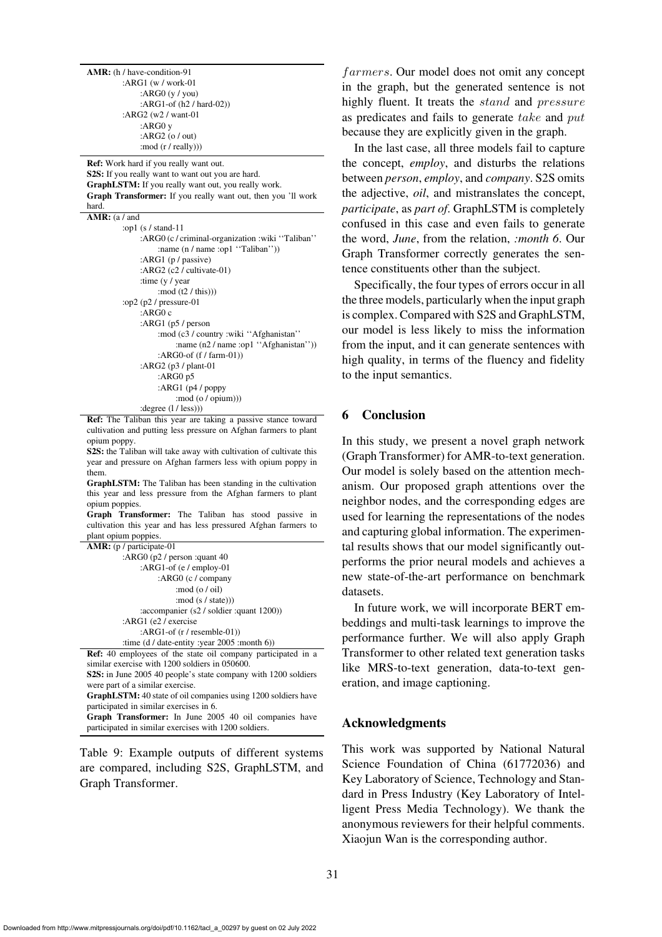AMR: (h / have-condition-91  $\cdot$ ARG1 (w / work-01) :ARG0 (y / you) :ARG1-of (h2 / hard-02)) :ARG2 (w2 / want-01 :ARG0 y :ARG2 (o / out) :mod (r / really)))

Ref: Work hard if you really want out. S2S: If you really want to want out you are hard. GraphLSTM: If you really want out, you really work. Graph Transformer: If you really want out, then you 'll work hard.

| AMR: $(a / and)$ |  |  |
|------------------|--|--|
|------------------|--|--|

| :op1 (s / stand-11)                              |
|--------------------------------------------------|
| :ARG0 (c / criminal-organization :wiki "Taliban" |
| :name (n / name :op1 "Taliban"))                 |
| :ARG1 $(p / passive)$                            |
| : $ARG2$ (c2 / cultivate-01)                     |
| :time $(y / year)$                               |
| : mod $(t2 / this)$ )                            |
| :op2 $(p2 / pressure-01)$                        |
| : $ARG0c$                                        |
| :ARG1 $(p5 / person)$                            |
| : mod (c3 / country : wiki "Afghanistan"         |
| :name $(n2 / name : op1 'Afghanistan'))$         |
| : $ARG0$ -of (f / farm-01))                      |
| : $ARG2$ (p3 / plant-01)                         |
| : $ARG0p5$                                       |
| :ARG1 $(p4 / poppy)$                             |
| :mod(o/opium))                                   |
| : degree $(1 / \text{less}))$                    |

Ref: The Taliban this year are taking a passive stance toward cultivation and putting less pressure on Afghan farmers to plant opium poppy.

S2S: the Taliban will take away with cultivation of cultivate this year and pressure on Afghan farmers less with opium poppy in them.

GraphLSTM: The Taliban has been standing in the cultivation this year and less pressure from the Afghan farmers to plant opium poppies.

Graph Transformer: The Taliban has stood passive in cultivation this year and has less pressured Afghan farmers to plant opium poppies.

| <b>AMR:</b> ( $p /$ participate-01              |
|-------------------------------------------------|
| :ARG0 ( $p2 / person$ : quant 40                |
| : $ARG1-of$ (e / employ-01                      |
| :ARG0 (c / company                              |
| : mod (o / oil)                                 |
| $:$ mod $(s / state))$                          |
| :accompanier (s2 / soldier :quant 1200))        |
| :ARG1 (e2 / exercise                            |
| :ARG1-of $(r /$ resemble-01 $))$                |
| :time $(d / date-entity : year 2005 : month 6)$ |
|                                                 |

Ref: 40 employees of the state oil company participated in a similar exercise with 1200 soldiers in 050600. S2S: in June 2005 40 people's state company with 1200 soldiers were part of a similar exercise.

GraphLSTM: 40 state of oil companies using 1200 soldiers have participated in similar exercises in 6.

<span id="page-12-0"></span>Graph Transformer: In June 2005 40 oil companies have participated in similar exercises with 1200 soldiers.

Table 9: Example outputs of different systems are compared, including S2S, GraphLSTM, and Graph Transformer.

farmers. Our model does not omit any concept in the graph, but the generated sentence is not highly fluent. It treats the stand and pressure as predicates and fails to generate take and put because they are explicitly given in the graph.

In the last case, all three models fail to capture the concept, *employ*, and disturbs the relations between *person*, *employ*, and *company*. S2S omits the adjective, *oil*, and mistranslates the concept, *participate*, as *part of*. GraphLSTM is completely confused in this case and even fails to generate the word, *June*, from the relation, *:month 6*. Our Graph Transformer correctly generates the sentence constituents other than the subject.

Specifically, the four types of errors occur in all the three models, particularly when the input graph is complex. Compared with S2S and GraphLSTM, our model is less likely to miss the information from the input, and it can generate sentences with high quality, in terms of the fluency and fidelity to the input semantics.

#### 6 Conclusion

In this study, we present a novel graph network (Graph Transformer) for AMR-to-text generation. Our model is solely based on the attention mechanism. Our proposed graph attentions over the neighbor nodes, and the corresponding edges are used for learning the representations of the nodes and capturing global information. The experimental results shows that our model significantly outperforms the prior neural models and achieves a new state-of-the-art performance on benchmark datasets.

In future work, we will incorporate BERT embeddings and multi-task learnings to improve the performance further. We will also apply Graph Transformer to other related text generation tasks like MRS-to-text generation, data-to-text generation, and image captioning.

#### Acknowledgments

This work was supported by National Natural Science Foundation of China (61772036) and Key Laboratory of Science, Technology and Standard in Press Industry (Key Laboratory of Intelligent Press Media Technology). We thank the anonymous reviewers for their helpful comments. Xiaojun Wan is the corresponding author.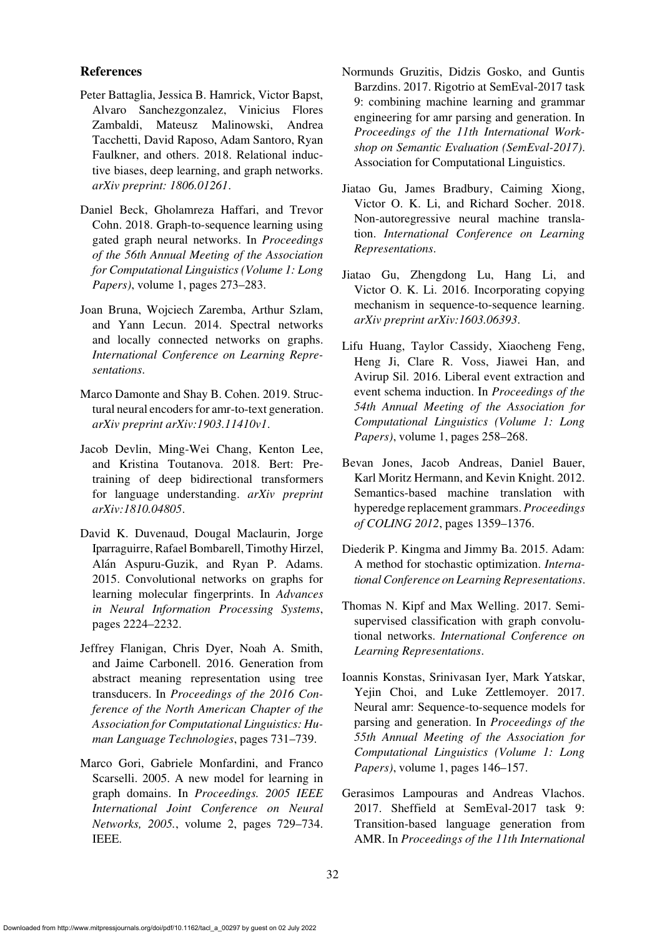## References

- <span id="page-13-15"></span>Peter Battaglia, Jessica B. Hamrick, Victor Bapst, Alvaro Sanchezgonzalez, Vinicius Flores Zambaldi, Mateusz Malinowski, Andrea Tacchetti, David Raposo, Adam Santoro, Ryan Faulkner, and others. 2018. Relational inductive biases, deep learning, and graph networks. *arXiv preprint: 1806.01261*.
- <span id="page-13-6"></span>Daniel Beck, Gholamreza Haffari, and Trevor Cohn. 2018. Graph-to-sequence learning using gated graph neural networks. In *Proceedings of the 56th Annual Meeting of the Association for Computational Linguistics (Volume 1: Long Papers)*, volume 1, pages 273–283.
- <span id="page-13-9"></span>Joan Bruna, Wojciech Zaremba, Arthur Szlam, and Yann Lecun. 2014. Spectral networks and locally connected networks on graphs. *International Conference on Learning Representations*.
- <span id="page-13-7"></span>Marco Damonte and Shay B. Cohen. 2019. Structural neural encoders for amr-to-text generation. *arXiv preprint arXiv:1903.11410v1*.
- <span id="page-13-13"></span>Jacob Devlin, Ming-Wei Chang, Kenton Lee, and Kristina Toutanova. 2018. Bert: Pretraining of deep bidirectional transformers for language understanding. *arXiv preprint arXiv:1810.04805*.
- <span id="page-13-10"></span>David K. Duvenaud, Dougal Maclaurin, Jorge Iparraguirre, Rafael Bombarell, Timothy Hirzel, Alán Aspuru-Guzik, and Ryan P. Adams. 2015. Convolutional networks on graphs for learning molecular fingerprints. In *Advances in Neural Information Processing Systems*, pages 2224–2232.
- <span id="page-13-2"></span>Jeffrey Flanigan, Chris Dyer, Noah A. Smith, and Jaime Carbonell. 2016. Generation from abstract meaning representation using tree transducers. In *Proceedings of the 2016 Conference of the North American Chapter of the Association for Computational Linguistics: Human Language Technologies*, pages 731–739.
- <span id="page-13-8"></span>Marco Gori, Gabriele Monfardini, and Franco Scarselli. 2005. A new model for learning in graph domains. In *Proceedings. 2005 IEEE International Joint Conference on Neural Networks, 2005.*, volume 2, pages 729–734. IEEE.
- <span id="page-13-4"></span>Normunds Gruzitis, Didzis Gosko, and Guntis Barzdins. 2017. Rigotrio at SemEval-2017 task 9: combining machine learning and grammar engineering for amr parsing and generation. In *Proceedings of the 11th International Workshop on Semantic Evaluation (SemEval-2017)*. Association for Computational Linguistics.
- <span id="page-13-12"></span>Jiatao Gu, James Bradbury, Caiming Xiong, Victor O. K. Li, and Richard Socher. 2018. Non-autoregressive neural machine translation. *International Conference on Learning Representations*.
- <span id="page-13-14"></span>Jiatao Gu, Zhengdong Lu, Hang Li, and Victor O. K. Li. 2016. Incorporating copying mechanism in sequence-to-sequence learning. *arXiv preprint arXiv:1603.06393*.
- <span id="page-13-1"></span>Lifu Huang, Taylor Cassidy, Xiaocheng Feng, Heng Ji, Clare R. Voss, Jiawei Han, and Avirup Sil. 2016. Liberal event extraction and event schema induction. In *Proceedings of the 54th Annual Meeting of the Association for Computational Linguistics (Volume 1: Long Papers)*, volume 1, pages 258–268.
- <span id="page-13-0"></span>Bevan Jones, Jacob Andreas, Daniel Bauer, Karl Moritz Hermann, and Kevin Knight. 2012. Semantics-based machine translation with hyperedge replacement grammars. *Proceedings of COLING 2012*, pages 1359–1376.
- <span id="page-13-16"></span>Diederik P. Kingma and Jimmy Ba. 2015. Adam: A method for stochastic optimization. *International Conference on Learning Representations*.
- <span id="page-13-11"></span>Thomas N. Kipf and Max Welling. 2017. Semisupervised classification with graph convolutional networks. *International Conference on Learning Representations*.
- <span id="page-13-5"></span>Ioannis Konstas, Srinivasan Iyer, Mark Yatskar, Yejin Choi, and Luke Zettlemoyer. 2017. Neural amr: Sequence-to-sequence models for parsing and generation. In *Proceedings of the 55th Annual Meeting of the Association for Computational Linguistics (Volume 1: Long Papers)*, volume 1, pages 146–157.
- <span id="page-13-3"></span>Gerasimos Lampouras and Andreas Vlachos. 2017. Sheffield at SemEval-2017 task 9: Transition-based language generation from AMR. In *Proceedings of the 11th International*